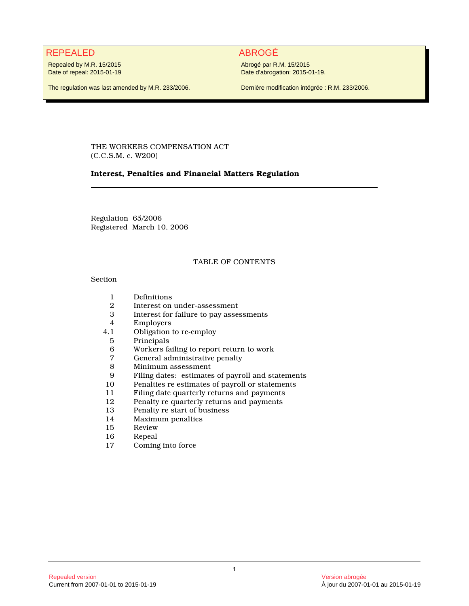## REPEALED ABROGÉ

Repealed by M.R. 15/2015 Date of repeal: 2015-01-19

Abrogé par R.M. 15/2015 Date d'abrogation: 2015-01-19.

The regulation was last amended by M.R. 233/2006.

Dernière modification intégrée : R.M. 233/2006.

THE WORKERS COMPENSATION ACT (C.C.S.M. c. W200)

#### **Interest, Penalties and Financial Matters Regulation**

Regulation 65/2006 Registered March 10, 2006

#### TABLE OF CONTENTS

#### Section

- 1 Definitions<br>2 Interest on
- 2 Interest on under-assessment<br>3 Interest for failure to pay asset
- Interest for failure to pay assessments
- 4 Employers
- 4.1 Obligation to re-employ
	- 5 Principals<br>6 Workers fa
	- 6 Workers failing to report return to work
	- 7 General administrative penalty<br>8 Minimum assessment
	- 8 Minimum assessment<br>9 Filing dates: estimates
- 9 Filing dates: estimates of payroll and statements
- 10 Penalties re estimates of payroll or statements<br>11 Filing date quarterly returns and payments
- 11 Filing date quarterly returns and payments<br>12 Penalty re quarterly returns and payments
- Penalty re quarterly returns and payments
- 13 Penalty re start of business
- 14 Maximum penalties
- 15 Review
- 16 Repeal<br>17 Coming
- Coming into force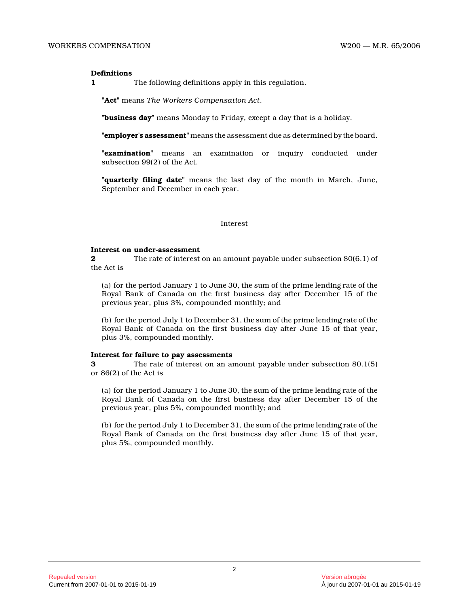#### **Definitions**

**1** The following definitions apply in this regulation.

**"Act"** means *The Workers Compensation Act* .

**"business day"** means Monday to Friday, except a day that is a holiday.

**"employer's assessment"** means the assessment due as determined by the board.

**"examination"** means an examination or inquiry conducted under subsection 99(2) of the Act.

**"quarterly filing date"** means the last day of the month in March, June, September and December in each year.

Interest

#### **Interest on under-assessment**

**2** The rate of interest on an amount payable under subsection 80(6.1) of the Act is

(a) for the period January 1 to June 30, the sum of the prime lending rate of the Royal Bank of Canada on the first business day after December 15 of the previous year, plus 3%, compounded monthly; and

(b) for the period July 1 to December 31, the sum of the prime lending rate of the Royal Bank of Canada on the first business day after June 15 of that year, plus 3%, compounded monthly.

#### **Interest for failure to pay assessments**

**3** The rate of interest on an amount payable under subsection 80.1(5) or 86(2) of the Act is

(a) for the period January 1 to June 30, the sum of the prime lending rate of the Royal Bank of Canada on the first business day after December 15 of the previous year, plus 5%, compounded monthly; and

(b) for the period July 1 to December 31, the sum of the prime lending rate of the Royal Bank of Canada on the first business day after June 15 of that year, plus 5%, compounded monthly.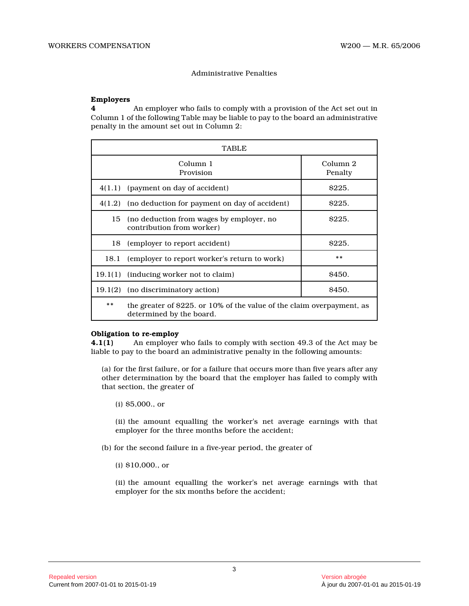#### Administrative Penalties

#### **Employers**

**4** An employer who fails to comply with a provision of the Act set out in Column 1 of the following Table may be liable to pay to the board an administrative penalty in the amount set out in Column 2:

| TABLE  |                                                                                                    |                     |
|--------|----------------------------------------------------------------------------------------------------|---------------------|
|        | Column 1<br>Provision                                                                              | Column 2<br>Penalty |
|        | 4(1.1) (payment on day of accident)                                                                | \$225.              |
| 4(1.2) | (no deduction for payment on day of accident)                                                      | <b>S225.</b>        |
| 15     | (no deduction from wages by employer, no<br>contribution from worker)                              | <b>S225.</b>        |
| 18     | (employer to report accident)                                                                      | <b>S225.</b>        |
| 18.1   | (employer to report worker's return to work)                                                       | **                  |
|        | 19.1(1) (inducing worker not to claim)                                                             | \$450.              |
|        | 19.1(2) (no discriminatory action)                                                                 | <b>\$450.</b>       |
| **     | the greater of \$225. or 10% of the value of the claim overpayment, as<br>determined by the board. |                     |

#### **Obligation to re-employ**

**4.1(1)** An employer who fails to comply with section 49.3 of the Act may be liable to pay to the board an administrative penalty in the following amounts:

(a) for the first failure, or for a failure that occurs more than five years after any other determination by the board that the employer has failed to comply with that section, the greater of

(i) \$5,000., or

(ii) the amount equalling the worker's net average earnings with that employer for the three months before the accident;

(b) for the second failure in a five-year period, the greater of

(i) \$10,000., or

(ii) the amount equalling the worker's net average earnings with that employer for the six months before the accident;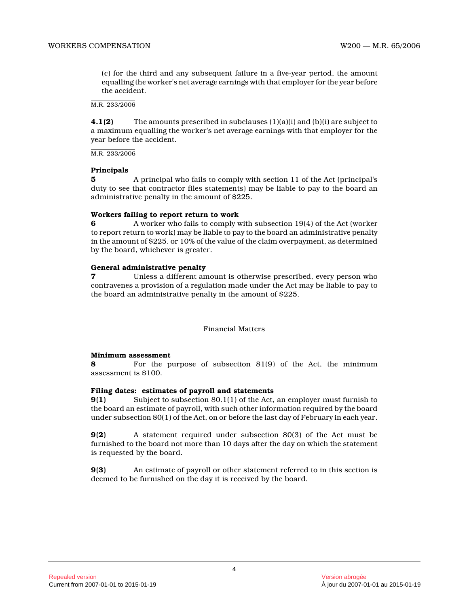(c) for the third and any subsequent failure in a five-year period, the amount equalling the worker's net average earnings with that employer for the year before the accident.

M.R. 233/2006

**4.1(2)** The amounts prescribed in subclauses (1)(a)(i) and (b)(i) are subject to a maximum equalling the worker's net average earnings with that employer for the year before the accident.

#### M.R. 233/2006

#### **Principals**

**5** A principal who fails to comply with section 11 of the Act (principal's duty to see that contractor files statements) may be liable to pay to the board an administrative penalty in the amount of \$225.

#### **Workers failing to report return to work**

**6** A worker who fails to comply with subsection 19(4) of the Act (worker to report return to work) may be liable to pay to the board an administrative penalty in the amount of \$225. or 10% of the value of the claim overpayment, as determined by the board, whichever is greater.

#### **General administrative penalty**

**7** Unless a different amount is otherwise prescribed, every person who contravenes a provision of a regulation made under the Act may be liable to pay to the board an administrative penalty in the amount of \$225.

Financial Matters

#### **Minimum assessment**

**8** For the purpose of subsection 81(9) of the Act, the minimum assessment is \$100.

### **Filing dates: estimates of payroll and statements**

**9(1)** Subject to subsection 80.1(1) of the Act, an employer must furnish to the board an estimate of payroll, with such other information required by the board under subsection 80(1) of the Act, on or before the last day of February in each year.

**9(2)** A statement required under subsection 80(3) of the Act must be furnished to the board not more than 10 days after the day on which the statement is requested by the board.

**9(3)** An estimate of payroll or other statement referred to in this section is deemed to be furnished on the day it is received by the board.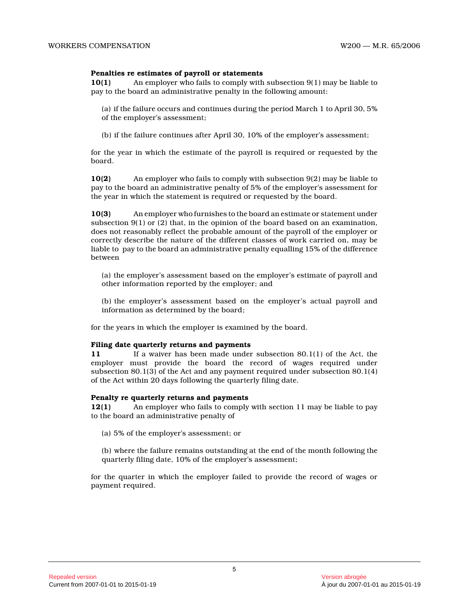#### **Penalties re estimates of payroll or statements**

**10(1)** An employer who fails to comply with subsection 9(1) may be liable to pay to the board an administrative penalty in the following amount:

(a) if the failure occurs and continues during the period March 1 to April 30, 5% of the employer's assessment;

(b) if the failure continues after April 30, 10% of the employer's assessment;

for the year in which the estimate of the payroll is required or requested by the board.

**10(2)** An employer who fails to comply with subsection 9(2) may be liable to pay to the board an administrative penalty of 5% of the employer's assessment for the year in which the statement is required or requested by the board.

**10(3)** An employer who furnishes to the board an estimate or statement under subsection  $9(1)$  or  $(2)$  that, in the opinion of the board based on an examination, does not reasonably reflect the probable amount of the payroll of the employer or correctly describe the nature of the different classes of work carried on, may be liable to pay to the board an administrative penalty equalling 15% of the difference between

(a) the employer's assessment based on the employer's estimate of payroll and other information reported by the employer; and

(b) the employer's assessment based on the employer's actual payroll and information as determined by the board;

for the years in which the employer is examined by the board.

#### **Filing date quarterly returns and payments**

**11** If a waiver has been made under subsection 80.1(1) of the Act, the employer must provide the board the record of wages required under subsection 80.1(3) of the Act and any payment required under subsection 80.1(4) of the Act within 20 days following the quarterly filing date.

#### **Penalty re quarterly returns and payments**

**12(1)** An employer who fails to comply with section 11 may be liable to pay to the board an administrative penalty of

- (a) 5% of the employer's assessment; or
- (b) where the failure remains outstanding at the end of the month following the quarterly filing date, 10% of the employer's assessment;

for the quarter in which the employer failed to provide the record of wages or payment required.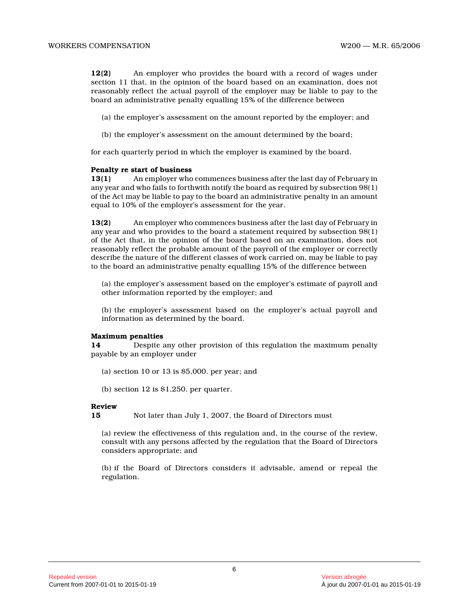**12(2)** An employer who provides the board with a record of wages under section 11 that, in the opinion of the board based on an examination, does not reasonably reflect the actual payroll of the employer may be liable to pay to the board an administrative penalty equalling 15% of the difference between

- (a) the employer's assessment on the amount reported by the employer; and
- (b) the employer's assessment on the amount determined by the board;

for each quarterly period in which the employer is examined by the board.

#### **Penalty re start of business**

**13(1)** An employer who commences business after the last day of February in any year and who fails to forthwith notify the board as required by subsection 98(1) of the Act may be liable to pay to the board an administrative penalty in an amount equal to 10% of the employer's assessment for the year.

**13(2)** An employer who commences business after the last day of February in any year and who provides to the board a statement required by subsection 98(1) of the Act that, in the opinion of the board based on an examination, does not reasonably reflect the probable amount of the payroll of the employer or correctly describe the nature of the different classes of work carried on, may be liable to pay to the board an administrative penalty equalling 15% of the difference between

(a) the employer's assessment based on the employer's estimate of payroll and other information reported by the employer; and

(b) the employer's assessment based on the employer's actual payroll and information as determined by the board.

#### **Maximum penalties**

**14** Despite any other provision of this regulation the maximum penalty payable by an employer under

- (a) section 10 or 13 is \$5,000. per year; and
- (b) section  $12$  is \$1,250. per quarter.

#### **Review**

**15** Not later than July 1, 2007, the Board of Directors must

(a) review the effectiveness of this regulation and, in the course of the review, consult with any persons affected by the regulation that the Board of Directors considers appropriate; and

(b) if the Board of Directors considers it advisable, amend or repeal the regulation.